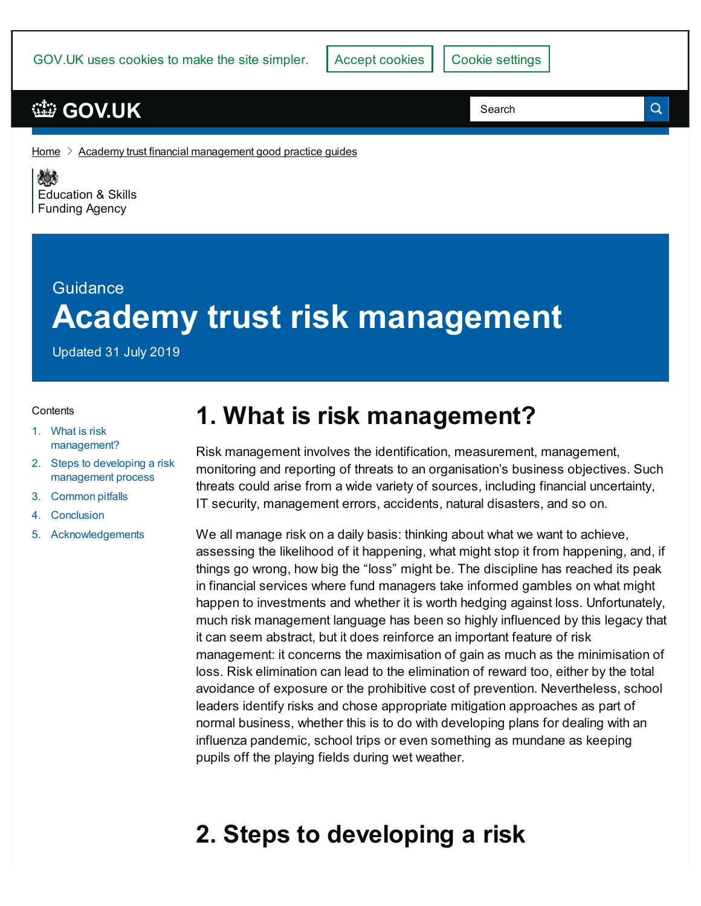GOV.UK uses cookies to make the site simpler.

### **[GOV.UK](https://www.gov.uk)**

Search

Q

[Home](https://www.gov.uk/)  $\geq$  Academy trust financial [management](https://www.gov.uk/government/publications/academy-trust-financial-management-good-practice-guides) good practice guides

《感》 [Education](https://www.gov.uk/government/organisations/education-and-skills-funding-agency) & Skills **Funding Agency** 

# **Guidance Academy trust risk management**

Updated 31 July 2019

#### **Contents**

- 1. What is risk [management?](#page-0-0)
- 2. Steps to developing a risk [management](#page-0-1) process
- 3. [Common](#page-6-0) pitfalls
- 4. [Conclusion](#page-6-1)
- 5. [Acknowledgements](#page-7-0)

### <span id="page-0-0"></span>**1. What is risk management?**

Risk management involves the identification, measurement, management, monitoring and reporting of threats to an organisation's business objectives. Such threats could arise from a wide variety of sources, including financial uncertainty, IT security, management errors, accidents, natural disasters, and so on.

We all manage risk on a daily basis: thinking about what we want to achieve, assessing the likelihood of it happening, what might stop it from happening, and, if things go wrong, how big the "loss" might be. The discipline has reached its peak in financial services where fund managers take informed gambles on what might happen to investments and whether it is worth hedging against loss. Unfortunately, much risk management language has been so highly influenced by this legacy that it can seem abstract, but it does reinforce an important feature of risk management: it concerns the maximisation of gain as much as the minimisation of loss. Risk elimination can lead to the elimination of reward too, either by the total avoidance of exposure or the prohibitive cost of prevention. Nevertheless, school leaders identify risks and chose appropriate mitigation approaches as part of normal business, whether this is to do with developing plans for dealing with an influenza pandemic, school trips or even something as mundane as keeping pupils off the playing fields during wet weather.

## <span id="page-0-1"></span>**2. Steps to developing a risk**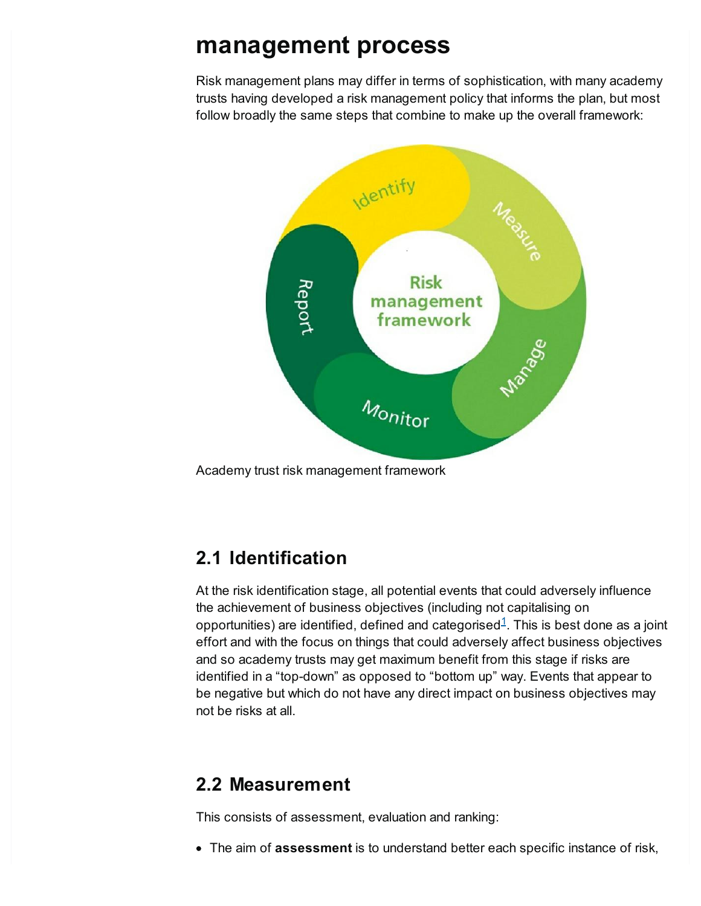### **management process**

Risk management plans may differ in terms of sophistication, with many academy trusts having developed a risk management policy that informs the plan, but most follow broadly the same steps that combine to make up the overall framework:



Academy trust risk management framework

#### **2.1 Identification**

<span id="page-1-0"></span>At the risk identification stage, all potential events that could adversely influence the achievement of business objectives (including not capitalising on opportunities) are identified, defined and categorised $^{\rm 1}$  $^{\rm 1}$  $^{\rm 1}$ . This is best done as a joint effort and with the focus on things that could adversely affect business objectives and so academy trusts may get maximum benefit from this stage if risks are identified in a "top-down" as opposed to "bottom up" way. Events that appear to be negative but which do not have any direct impact on business objectives may not be risks at all.

#### **2.2 Measurement**

This consists of assessment, evaluation and ranking:

The aim of **assessment** is to understand better each specific instance of risk,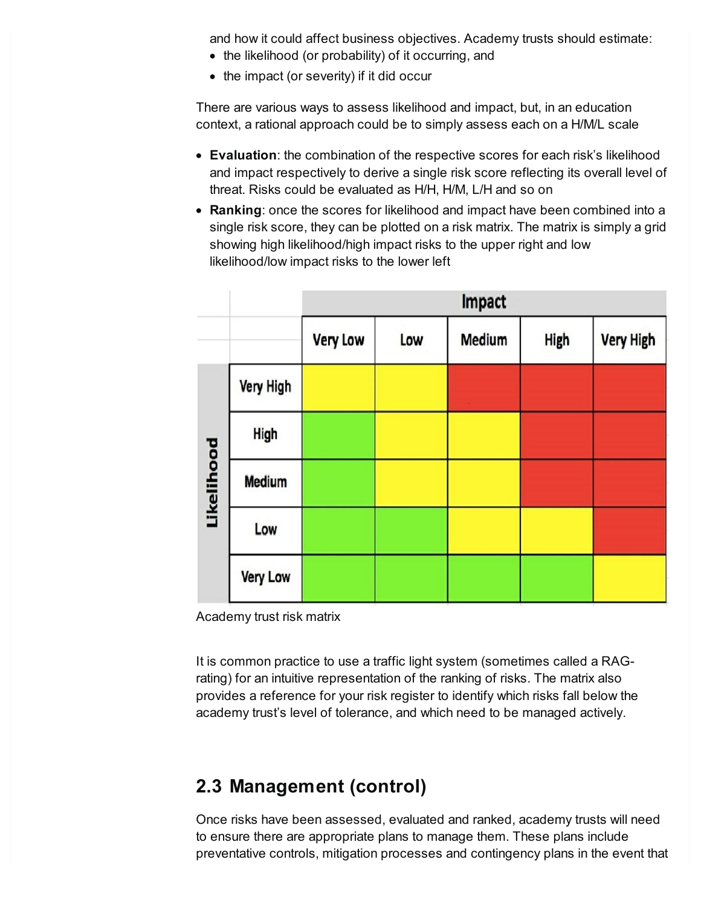and how it could affect business objectives. Academy trusts should estimate:

- the likelihood (or probability) of it occurring, and
- the impact (or severity) if it did occur

There are various ways to assess likelihood and impact, but, in an education context, a rational approach could be to simply assess each on a H/M/L scale

- **Evaluation**: the combination of the respective scores for each risk's likelihood and impact respectively to derive a single risk score reflecting its overall level of threat. Risks could be evaluated as H/H, H/M, L/H and so on
- **Ranking**: once the scores for likelihood and impact have been combined into a single risk score, they can be plotted on a risk matrix. The matrix is simply a grid showing high likelihood/high impact risks to the upper right and low likelihood/low impact risks to the lower left

|            |                 | Impact          |     |        |      |                  |
|------------|-----------------|-----------------|-----|--------|------|------------------|
|            |                 | <b>Very Low</b> | Low | Medium | High | <b>Very High</b> |
| Likelihood | Very High       |                 |     |        |      |                  |
|            | High            |                 |     |        |      |                  |
|            | Medium          |                 |     |        |      |                  |
|            | Low             |                 |     |        |      |                  |
|            | <b>Very Low</b> |                 |     |        |      |                  |

Academy trust risk matrix

It is common practice to use a traffic light system (sometimes called a RAGrating) for an intuitive representation of the ranking of risks. The matrix also provides a reference for your risk register to identify which risks fall below the academy trust's level of tolerance, and which need to be managed actively.

### **2.3 Management (control)**

Once risks have been assessed, evaluated and ranked, academy trusts will need to ensure there are appropriate plans to manage them. These plans include preventative controls, mitigation processes and contingency plans in the event that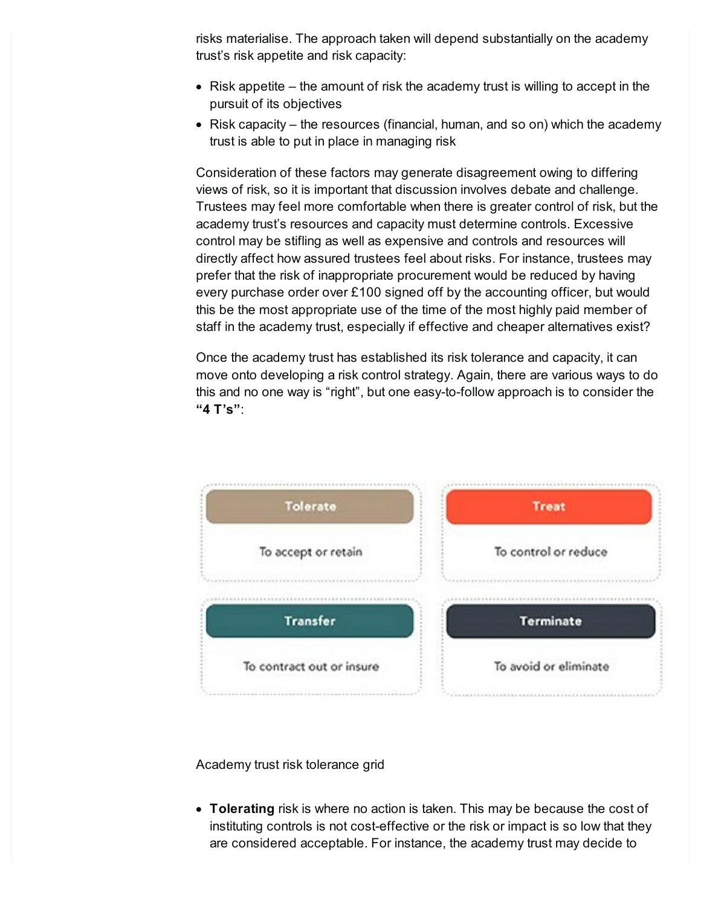risks materialise. The approach taken will depend substantially on the academy trust's risk appetite and risk capacity:

- $\bullet$  Risk appetite the amount of risk the academy trust is willing to accept in the pursuit of its objectives
- $\bullet$  Risk capacity the resources (financial, human, and so on) which the academy trust is able to put in place in managing risk

Consideration of these factors may generate disagreement owing to differing views of risk, so it is important that discussion involves debate and challenge. Trustees may feel more comfortable when there is greater control of risk, but the academy trust's resources and capacity must determine controls. Excessive control may be stifling as well as expensive and controls and resources will directly affect how assured trustees feel about risks. For instance, trustees may prefer that the risk of inappropriate procurement would be reduced by having every purchase order over £100 signed off by the accounting officer, but would this be the most appropriate use of the time of the most highly paid member of staff in the academy trust, especially if effective and cheaper alternatives exist?

Once the academy trust has established its risk tolerance and capacity, it can move onto developing a risk control strategy. Again, there are various ways to do this and no one way is "right", but one easy-to-follow approach is to consider the **"4 T's"**:



Academy trust risk tolerance grid

**Tolerating** risk is where no action is taken. This may be because the cost of instituting controls is not cost-effective or the risk or impact is so low that they are considered acceptable. For instance, the academy trust may decide to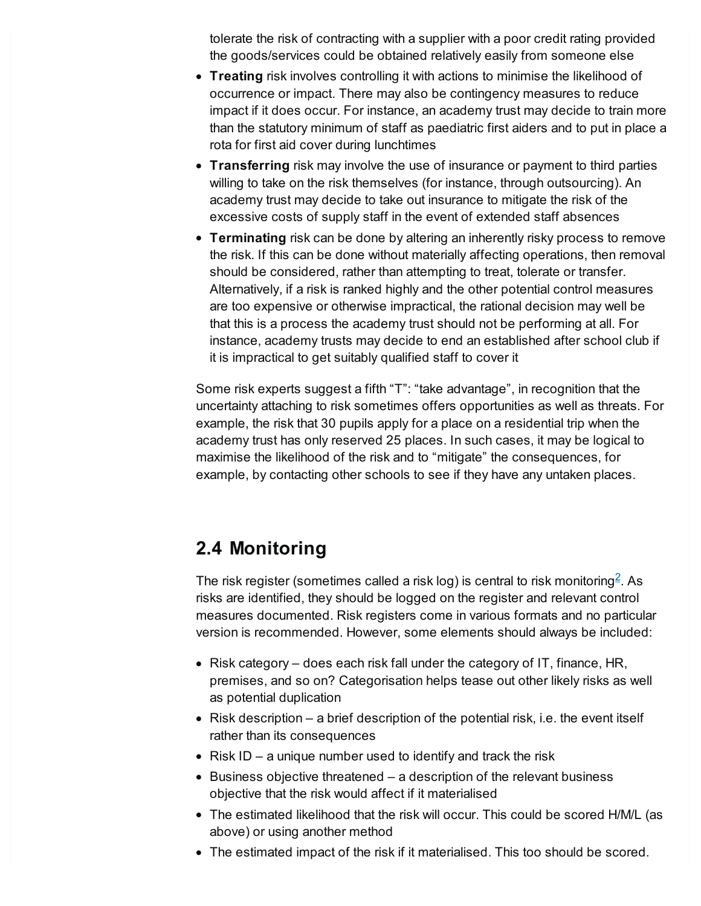tolerate the risk of contracting with a supplier with a poor credit rating provided the goods/services could be obtained relatively easily from someone else

- **Treating** risk involves controlling it with actions to minimise the likelihood of occurrence or impact. There may also be contingency measures to reduce impact if it does occur. For instance, an academy trust may decide to train more than the statutory minimum of staff as paediatric first aiders and to put in place a rota for first aid cover during lunchtimes
- **Transferring** risk may involve the use of insurance or payment to third parties willing to take on the risk themselves (for instance, through outsourcing). An academy trust may decide to take out insurance to mitigate the risk of the excessive costs of supply staff in the event of extended staff absences
- **Terminating** risk can be done by altering an inherently risky process to remove the risk. If this can be done without materially affecting operations, then removal should be considered, rather than attempting to treat, tolerate or transfer. Alternatively, if a risk is ranked highly and the other potential control measures are too expensive or otherwise impractical, the rational decision may well be that this is a process the academy trust should not be performing at all. For instance, academy trusts may decide to end an established after school club if it is impractical to get suitably qualified staff to cover it

Some risk experts suggest a fifth "T": "take advantage", in recognition that the uncertainty attaching to risk sometimes offers opportunities as well as threats. For example, the risk that 30 pupils apply for a place on a residential trip when the academy trust has only reserved 25 places. In such cases, it may be logical to maximise the likelihood of the risk and to "mitigate" the consequences, for example, by contacting other schools to see if they have any untaken places.

### **2.4 Monitoring**

<span id="page-4-0"></span>The risk register (sometimes called a risk log) is central to risk monitoring $^2$  $^2$ . As risks are identified, they should be logged on the register and relevant control measures documented. Risk registers come in various formats and no particular version is recommended. However, some elements should always be included:

- Risk category does each risk fall under the category of IT, finance, HR, premises, and so on? Categorisation helps tease out other likely risks as well as potential duplication
- Risk description a brief description of the potential risk, i.e. the event itself rather than its consequences
- Risk ID a unique number used to identify and track the risk
- Business objective threatened a description of the relevant business objective that the risk would affect if it materialised
- The estimated likelihood that the risk will occur. This could be scored H/M/L (as above) or using another method
- The estimated impact of the risk if it materialised. This too should be scored.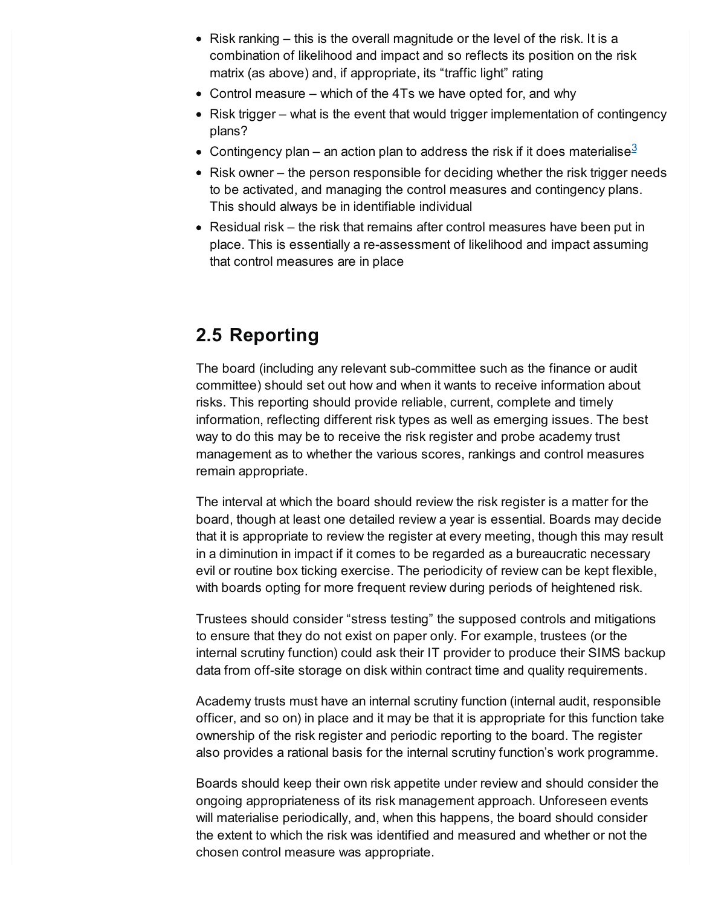- Risk ranking this is the overall magnitude or the level of the risk. It is a combination of likelihood and impact and so reflects its position on the risk matrix (as above) and, if appropriate, its "traffic light" rating
- Control measure which of the 4Ts we have opted for, and why
- $\bullet$  Risk trigger what is the event that would trigger implementation of contingency plans?
- <span id="page-5-0"></span>Contingency plan – an action plan to address the risk if it does materialise $^3$  $^3$
- $\bullet$  Risk owner the person responsible for deciding whether the risk trigger needs to be activated, and managing the control measures and contingency plans. This should always be in identifiable individual
- Residual risk the risk that remains after control measures have been put in place. This is essentially a re-assessment of likelihood and impact assuming that control measures are in place

### **2.5 Reporting**

The board (including any relevant sub-committee such as the finance or audit committee) should set out how and when it wants to receive information about risks. This reporting should provide reliable, current, complete and timely information, reflecting different risk types as well as emerging issues. The best way to do this may be to receive the risk register and probe academy trust management as to whether the various scores, rankings and control measures remain appropriate.

The interval at which the board should review the risk register is a matter for the board, though at least one detailed review a year is essential. Boards may decide that it is appropriate to review the register at every meeting, though this may result in a diminution in impact if it comes to be regarded as a bureaucratic necessary evil or routine box ticking exercise. The periodicity of review can be kept flexible, with boards opting for more frequent review during periods of heightened risk.

Trustees should consider "stress testing" the supposed controls and mitigations to ensure that they do not exist on paper only. For example, trustees (or the internal scrutiny function) could ask their IT provider to produce their SIMS backup data from off-site storage on disk within contract time and quality requirements.

Academy trusts must have an internal scrutiny function (internal audit, responsible officer, and so on) in place and it may be that it is appropriate for this function take ownership of the risk register and periodic reporting to the board. The register also provides a rational basis for the internal scrutiny function's work programme.

Boards should keep their own risk appetite under review and should consider the ongoing appropriateness of its risk management approach. Unforeseen events will materialise periodically, and, when this happens, the board should consider the extent to which the risk was identified and measured and whether or not the chosen control measure was appropriate.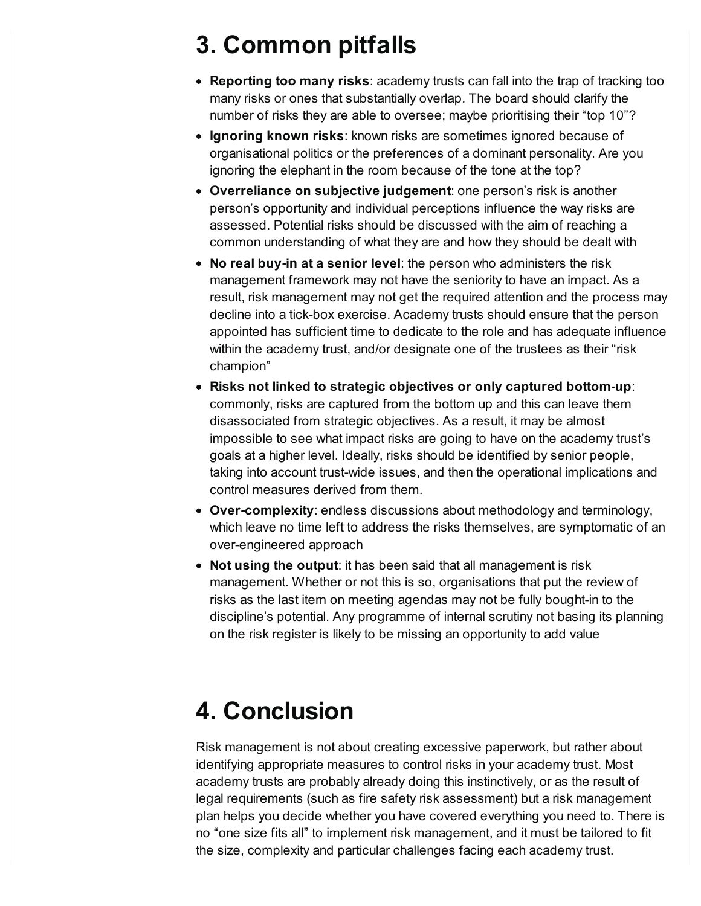# <span id="page-6-0"></span>**3. Common pitfalls**

- **Reporting too many risks**: academy trusts can fall into the trap of tracking too many risks or ones that substantially overlap. The board should clarify the number of risks they are able to oversee; maybe prioritising their "top 10"?
- **Ignoring known risks**: known risks are sometimes ignored because of organisational politics or the preferences of a dominant personality. Are you ignoring the elephant in the room because of the tone at the top?
- **Overreliance on subjective judgement**: one person's risk is another person's opportunity and individual perceptions influence the way risks are assessed. Potential risks should be discussed with the aim of reaching a common understanding of what they are and how they should be dealt with
- **No real buy-in at a senior level**: the person who administers the risk management framework may not have the seniority to have an impact. As a result, risk management may not get the required attention and the process may decline into a tick-box exercise. Academy trusts should ensure that the person appointed has sufficient time to dedicate to the role and has adequate influence within the academy trust, and/or designate one of the trustees as their "risk champion"
- **Risks not linked to strategic objectives or only captured bottom-up**: commonly, risks are captured from the bottom up and this can leave them disassociated from strategic objectives. As a result, it may be almost impossible to see what impact risks are going to have on the academy trust's goals at a higher level. Ideally, risks should be identified by senior people, taking into account trust-wide issues, and then the operational implications and control measures derived from them.
- **Over-complexity**: endless discussions about methodology and terminology, which leave no time left to address the risks themselves, are symptomatic of an over-engineered approach
- **Not using the output**: it has been said that all management is risk management. Whether or not this is so, organisations that put the review of risks as the last item on meeting agendas may not be fully bought-in to the discipline's potential. Any programme of internal scrutiny not basing its planning on the risk register is likely to be missing an opportunity to add value

### <span id="page-6-1"></span>**4. Conclusion**

Risk management is not about creating excessive paperwork, but rather about identifying appropriate measures to control risks in your academy trust. Most academy trusts are probably already doing this instinctively, or as the result of legal requirements (such as fire safety risk assessment) but a risk management plan helps you decide whether you have covered everything you need to. There is no "one size fits all" to implement risk management, and it must be tailored to fit the size, complexity and particular challenges facing each academy trust.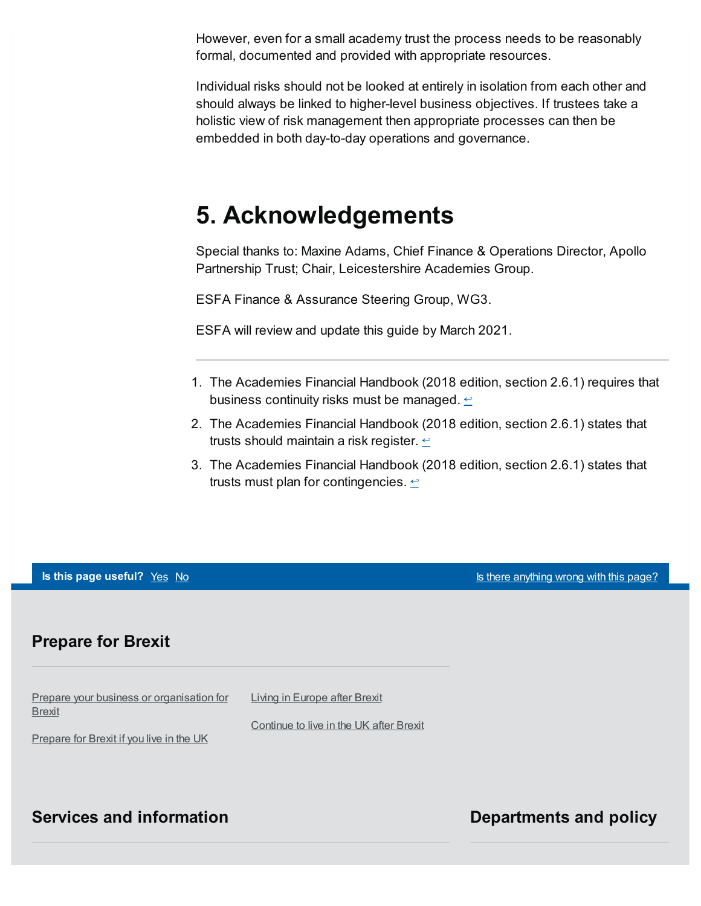However, even for a small academy trust the process needs to be reasonably formal, documented and provided with appropriate resources.

Individual risks should not be looked at entirely in isolation from each other and should always be linked to higher-level business objectives. If trustees take a holistic view of risk management then appropriate processes can then be embedded in both day-to-day operations and governance.

### <span id="page-7-0"></span>**5. Acknowledgements**

Special thanks to: Maxine Adams, Chief Finance & Operations Director, Apollo Partnership Trust; Chair, Leicestershire Academies Group.

ESFA Finance & Assurance Steering Group, WG3.

ESFA will review and update this guide by March 2021.

- <span id="page-7-1"></span>1. The Academies Financial Handbook (2018 edition, section 2.6.1) requires that business continuity risks must be managed.  $\leq$
- <span id="page-7-2"></span>2. The Academies Financial Handbook (2018 edition, section 2.6.1) states that trusts should maintain a risk register.  $\leftrightarrow$
- <span id="page-7-3"></span>3. The Academies Financial Handbook (2018 edition, section 2.6.1) states that trusts must plan for contingencies.  $\leftrightarrow$

**Is this page useful?** [Yes](https://www.gov.uk/contact/govuk) [No](https://www.gov.uk/contact/govuk) Is the Magnetic Control of the Magnetic Section 1 and 1 and 1 and 1 and 1 and 1 and 1 and 1 and 1 and 1 and 1 and 1 and 1 and 1 and 1 and 1 and 1 and 1 and 1 and 1 and 1 and 1 and 1 and 1 and

#### **Prepare for Brexit**

Prepare your business or [organisation](https://www.gov.uk/business-uk-leaving-eu) for **Brexit** Living in [Europe](https://www.gov.uk/uk-nationals-living-eu) after Brexit [Continue](https://www.gov.uk/staying-uk-eu-citizen) to live in the UK after Brexit

[Prepare](https://www.gov.uk/prepare-eu-exit) for Brexit if you live in the UK

#### **Services and information Departments and policy**